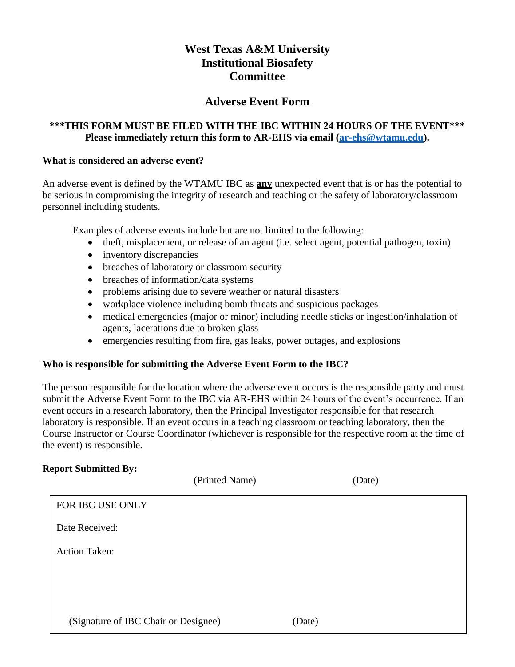# **West Texas A&M University Institutional Biosafety Committee**

## **Adverse Event Form**

### **\*\*\*THIS FORM MUST BE FILED WITH THE IBC WITHIN 24 HOURS OF THE EVENT\*\*\* Please immediately return this form to AR-EHS via email [\(ar-ehs@wtamu.edu\)](mailto:ar-ehs@wtamu.edu).**

#### **What is considered an adverse event?**

An adverse event is defined by the WTAMU IBC as **any** unexpected event that is or has the potential to be serious in compromising the integrity of research and teaching or the safety of laboratory/classroom personnel including students.

Examples of adverse events include but are not limited to the following:

- theft, misplacement, or release of an agent (i.e. select agent, potential pathogen, toxin)
- inventory discrepancies
- breaches of laboratory or classroom security
- breaches of information/data systems
- problems arising due to severe weather or natural disasters
- workplace violence including bomb threats and suspicious packages
- medical emergencies (major or minor) including needle sticks or ingestion/inhalation of agents, lacerations due to broken glass
- emergencies resulting from fire, gas leaks, power outages, and explosions

#### **Who is responsible for submitting the Adverse Event Form to the IBC?**

The person responsible for the location where the adverse event occurs is the responsible party and must submit the Adverse Event Form to the IBC via AR-EHS within 24 hours of the event's occurrence. If an event occurs in a research laboratory, then the Principal Investigator responsible for that research laboratory is responsible. If an event occurs in a teaching classroom or teaching laboratory, then the Course Instructor or Course Coordinator (whichever is responsible for the respective room at the time of the event) is responsible.

#### **Report Submitted By:**

|                                      | (Printed Name) |        | (Date) |
|--------------------------------------|----------------|--------|--------|
| FOR IBC USE ONLY                     |                |        |        |
| Date Received:                       |                |        |        |
| <b>Action Taken:</b>                 |                |        |        |
|                                      |                |        |        |
|                                      |                |        |        |
| (Signature of IBC Chair or Designee) |                | (Date) |        |